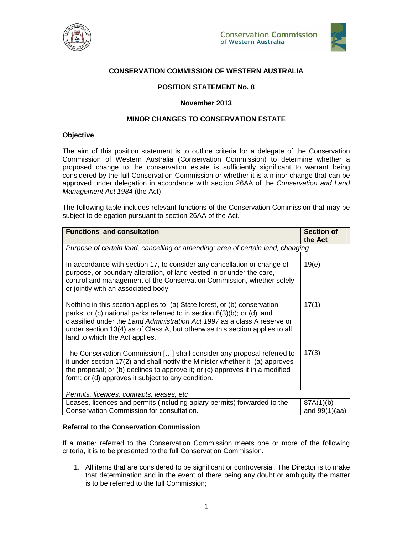



# **CONSERVATION COMMISSION OF WESTERN AUSTRALIA**

## **POSITION STATEMENT No. 8**

### **November 2013**

## **MINOR CHANGES TO CONSERVATION ESTATE**

### **Objective**

The aim of this position statement is to outline criteria for a delegate of the Conservation Commission of Western Australia (Conservation Commission) to determine whether a proposed change to the conservation estate is sufficiently significant to warrant being considered by the full Conservation Commission or whether it is a minor change that can be approved under delegation in accordance with section 26AA of the Conservation and Land Management Act 1984 (the Act).

The following table includes relevant functions of the Conservation Commission that may be subject to delegation pursuant to section 26AA of the Act.

| <b>Functions and consultation</b>                                                                                                                                                                                                                                                                                                                      | <b>Section of</b><br>the Act |
|--------------------------------------------------------------------------------------------------------------------------------------------------------------------------------------------------------------------------------------------------------------------------------------------------------------------------------------------------------|------------------------------|
| Purpose of certain land, cancelling or amending; area of certain land, changing                                                                                                                                                                                                                                                                        |                              |
| In accordance with section 17, to consider any cancellation or change of<br>purpose, or boundary alteration, of land vested in or under the care,<br>control and management of the Conservation Commission, whether solely<br>or jointly with an associated body.                                                                                      | 19(e)                        |
| Nothing in this section applies to–(a) State forest, or (b) conservation<br>parks; or (c) national parks referred to in section $6(3)(b)$ ; or (d) land<br>classified under the Land Administration Act 1997 as a class A reserve or<br>under section 13(4) as of Class A, but otherwise this section applies to all<br>land to which the Act applies. | 17(1)                        |
| The Conservation Commission [] shall consider any proposal referred to<br>it under section 17(2) and shall notify the Minister whether it-(a) approves<br>the proposal; or (b) declines to approve it; or (c) approves it in a modified<br>form; or (d) approves it subject to any condition.                                                          | 17(3)                        |
| Permits, licences, contracts, leases, etc.                                                                                                                                                                                                                                                                                                             |                              |
| Leases, licences and permits (including apiary permits) forwarded to the                                                                                                                                                                                                                                                                               | 87A(1)(b)                    |
| Conservation Commission for consultation.                                                                                                                                                                                                                                                                                                              | and $99(1)(aa)$              |

## **Referral to the Conservation Commission**

If a matter referred to the Conservation Commission meets one or more of the following criteria, it is to be presented to the full Conservation Commission.

1. All items that are considered to be significant or controversial. The Director is to make that determination and in the event of there being any doubt or ambiguity the matter is to be referred to the full Commission;